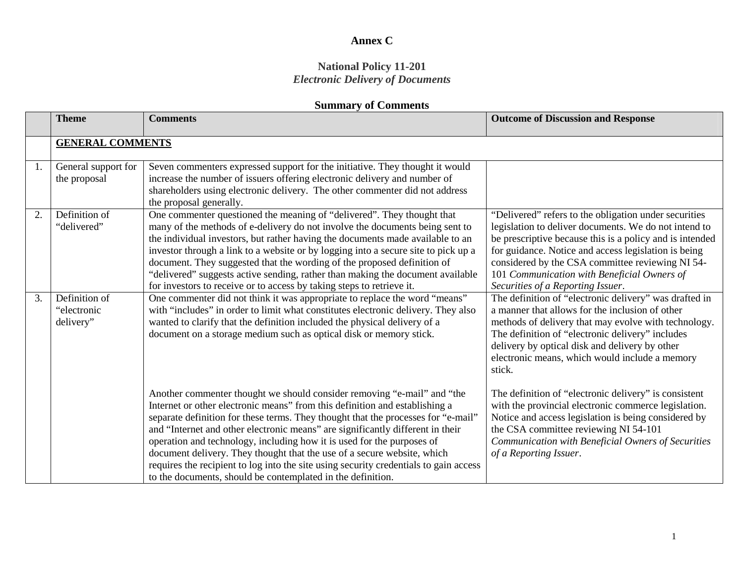#### **National Policy 11-201** *Electronic Delivery of Documents*

|    | <b>Theme</b>                              | <b>Comments</b>                                                                                                                                                                                                                                                                                                                                                                                                                                                                                                                                                                                                                            | <b>Outcome of Discussion and Response</b>                                                                                                                                                                                                                                                                                                                                  |  |
|----|-------------------------------------------|--------------------------------------------------------------------------------------------------------------------------------------------------------------------------------------------------------------------------------------------------------------------------------------------------------------------------------------------------------------------------------------------------------------------------------------------------------------------------------------------------------------------------------------------------------------------------------------------------------------------------------------------|----------------------------------------------------------------------------------------------------------------------------------------------------------------------------------------------------------------------------------------------------------------------------------------------------------------------------------------------------------------------------|--|
|    | <b>GENERAL COMMENTS</b>                   |                                                                                                                                                                                                                                                                                                                                                                                                                                                                                                                                                                                                                                            |                                                                                                                                                                                                                                                                                                                                                                            |  |
| 1. | General support for<br>the proposal       | Seven commenters expressed support for the initiative. They thought it would<br>increase the number of issuers offering electronic delivery and number of<br>shareholders using electronic delivery. The other commenter did not address<br>the proposal generally.                                                                                                                                                                                                                                                                                                                                                                        |                                                                                                                                                                                                                                                                                                                                                                            |  |
| 2. | Definition of<br>"delivered"              | One commenter questioned the meaning of "delivered". They thought that<br>many of the methods of e-delivery do not involve the documents being sent to<br>the individual investors, but rather having the documents made available to an<br>investor through a link to a website or by logging into a secure site to pick up a<br>document. They suggested that the wording of the proposed definition of<br>"delivered" suggests active sending, rather than making the document available<br>for investors to receive or to access by taking steps to retrieve it.                                                                       | "Delivered" refers to the obligation under securities<br>legislation to deliver documents. We do not intend to<br>be prescriptive because this is a policy and is intended<br>for guidance. Notice and access legislation is being<br>considered by the CSA committee reviewing NI 54-<br>101 Communication with Beneficial Owners of<br>Securities of a Reporting Issuer. |  |
| 3. | Definition of<br>"electronic<br>delivery" | One commenter did not think it was appropriate to replace the word "means"<br>with "includes" in order to limit what constitutes electronic delivery. They also<br>wanted to clarify that the definition included the physical delivery of a<br>document on a storage medium such as optical disk or memory stick.                                                                                                                                                                                                                                                                                                                         | The definition of "electronic delivery" was drafted in<br>a manner that allows for the inclusion of other<br>methods of delivery that may evolve with technology.<br>The definition of "electronic delivery" includes<br>delivery by optical disk and delivery by other<br>electronic means, which would include a memory<br>stick.                                        |  |
|    |                                           | Another commenter thought we should consider removing "e-mail" and "the<br>Internet or other electronic means" from this definition and establishing a<br>separate definition for these terms. They thought that the processes for "e-mail"<br>and "Internet and other electronic means" are significantly different in their<br>operation and technology, including how it is used for the purposes of<br>document delivery. They thought that the use of a secure website, which<br>requires the recipient to log into the site using security credentials to gain access<br>to the documents, should be contemplated in the definition. | The definition of "electronic delivery" is consistent<br>with the provincial electronic commerce legislation.<br>Notice and access legislation is being considered by<br>the CSA committee reviewing NI 54-101<br>Communication with Beneficial Owners of Securities<br>of a Reporting Issuer.                                                                             |  |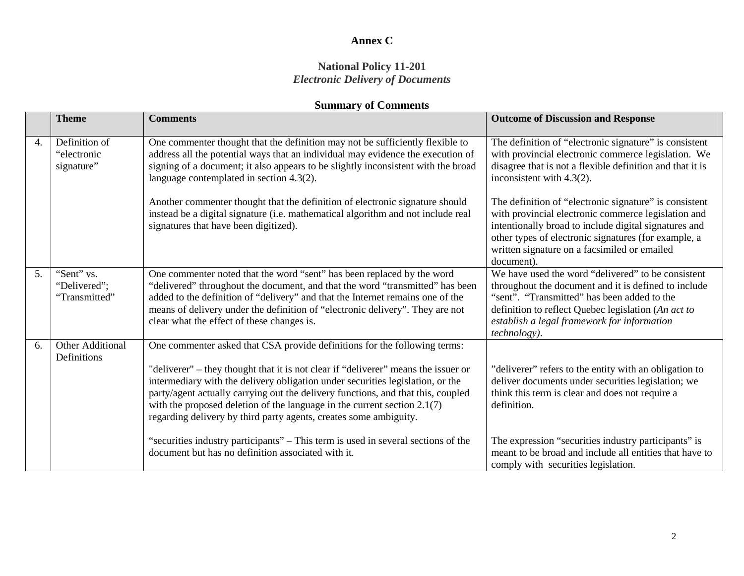#### **National Policy 11-201** *Electronic Delivery of Documents*

|    | <b>Theme</b>                                | <b>Comments</b>                                                                                                                                                                                                                                                                                                                                                                                                                                                                          | <b>Outcome of Discussion and Response</b>                                                                                                                                                                                                                                                    |
|----|---------------------------------------------|------------------------------------------------------------------------------------------------------------------------------------------------------------------------------------------------------------------------------------------------------------------------------------------------------------------------------------------------------------------------------------------------------------------------------------------------------------------------------------------|----------------------------------------------------------------------------------------------------------------------------------------------------------------------------------------------------------------------------------------------------------------------------------------------|
| 4. | Definition of<br>"electronic<br>signature"  | One commenter thought that the definition may not be sufficiently flexible to<br>address all the potential ways that an individual may evidence the execution of<br>signing of a document; it also appears to be slightly inconsistent with the broad<br>language contemplated in section 4.3(2).                                                                                                                                                                                        | The definition of "electronic signature" is consistent<br>with provincial electronic commerce legislation. We<br>disagree that is not a flexible definition and that it is<br>inconsistent with $4.3(2)$ .                                                                                   |
|    |                                             | Another commenter thought that the definition of electronic signature should<br>instead be a digital signature (i.e. mathematical algorithm and not include real<br>signatures that have been digitized).                                                                                                                                                                                                                                                                                | The definition of "electronic signature" is consistent<br>with provincial electronic commerce legislation and<br>intentionally broad to include digital signatures and<br>other types of electronic signatures (for example, a<br>written signature on a facsimiled or emailed<br>document). |
| 5. | "Sent" vs.<br>"Delivered";<br>"Transmitted" | One commenter noted that the word "sent" has been replaced by the word<br>"delivered" throughout the document, and that the word "transmitted" has been<br>added to the definition of "delivery" and that the Internet remains one of the<br>means of delivery under the definition of "electronic delivery". They are not<br>clear what the effect of these changes is.                                                                                                                 | We have used the word "delivered" to be consistent<br>throughout the document and it is defined to include<br>"sent". "Transmitted" has been added to the<br>definition to reflect Quebec legislation (An act to<br>establish a legal framework for information<br><i>technology</i> ).      |
| 6. | Other Additional<br>Definitions             | One commenter asked that CSA provide definitions for the following terms:<br>"deliverer" – they thought that it is not clear if "deliverer" means the issuer or<br>intermediary with the delivery obligation under securities legislation, or the<br>party/agent actually carrying out the delivery functions, and that this, coupled<br>with the proposed deletion of the language in the current section $2.1(7)$<br>regarding delivery by third party agents, creates some ambiguity. | "deliverer" refers to the entity with an obligation to<br>deliver documents under securities legislation; we<br>think this term is clear and does not require a<br>definition.                                                                                                               |
|    |                                             | "securities industry participants" – This term is used in several sections of the<br>document but has no definition associated with it.                                                                                                                                                                                                                                                                                                                                                  | The expression "securities industry participants" is<br>meant to be broad and include all entities that have to<br>comply with securities legislation.                                                                                                                                       |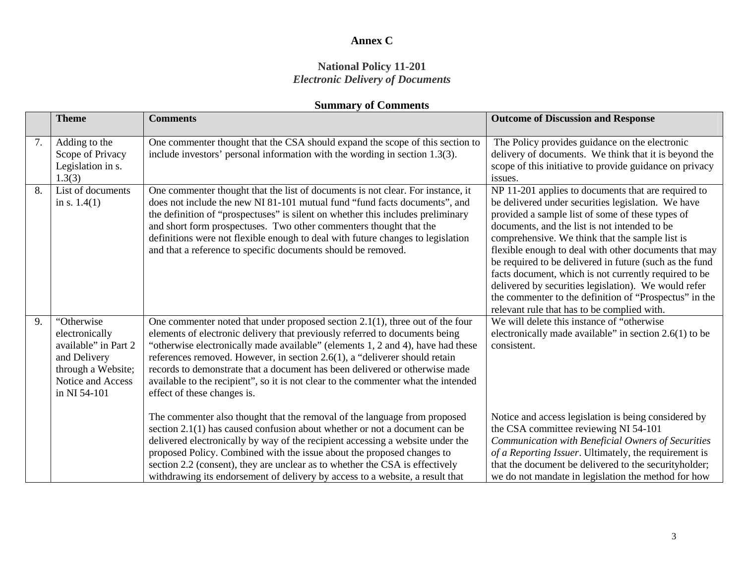#### **National Policy 11-201** *Electronic Delivery of Documents*

|    | <b>Theme</b>                                                                                                                    | <b>Comments</b>                                                                                                                                                                                                                                                                                                                                                                                                                                                                                                                      | <b>Outcome of Discussion and Response</b>                                                                                                                                                                                                                                                                                                                                                                                                                                                                                                                                                                       |
|----|---------------------------------------------------------------------------------------------------------------------------------|--------------------------------------------------------------------------------------------------------------------------------------------------------------------------------------------------------------------------------------------------------------------------------------------------------------------------------------------------------------------------------------------------------------------------------------------------------------------------------------------------------------------------------------|-----------------------------------------------------------------------------------------------------------------------------------------------------------------------------------------------------------------------------------------------------------------------------------------------------------------------------------------------------------------------------------------------------------------------------------------------------------------------------------------------------------------------------------------------------------------------------------------------------------------|
| 7. | Adding to the<br>Scope of Privacy<br>Legislation in s.<br>1.3(3)                                                                | One commenter thought that the CSA should expand the scope of this section to<br>include investors' personal information with the wording in section 1.3(3).                                                                                                                                                                                                                                                                                                                                                                         | The Policy provides guidance on the electronic<br>delivery of documents. We think that it is beyond the<br>scope of this initiative to provide guidance on privacy<br>issues.                                                                                                                                                                                                                                                                                                                                                                                                                                   |
| 8. | List of documents<br>in s. $1.4(1)$                                                                                             | One commenter thought that the list of documents is not clear. For instance, it<br>does not include the new NI 81-101 mutual fund "fund facts documents", and<br>the definition of "prospectuses" is silent on whether this includes preliminary<br>and short form prospectuses. Two other commenters thought that the<br>definitions were not flexible enough to deal with future changes to legislation<br>and that a reference to specific documents should be removed.                                                           | NP 11-201 applies to documents that are required to<br>be delivered under securities legislation. We have<br>provided a sample list of some of these types of<br>documents, and the list is not intended to be<br>comprehensive. We think that the sample list is<br>flexible enough to deal with other documents that may<br>be required to be delivered in future (such as the fund<br>facts document, which is not currently required to be<br>delivered by securities legislation). We would refer<br>the commenter to the definition of "Prospectus" in the<br>relevant rule that has to be complied with. |
| 9. | "Otherwise<br>electronically<br>available" in Part 2<br>and Delivery<br>through a Website;<br>Notice and Access<br>in NI 54-101 | One commenter noted that under proposed section $2.1(1)$ , three out of the four<br>elements of electronic delivery that previously referred to documents being<br>"otherwise electronically made available" (elements 1, 2 and 4), have had these<br>references removed. However, in section 2.6(1), a "deliverer should retain<br>records to demonstrate that a document has been delivered or otherwise made<br>available to the recipient", so it is not clear to the commenter what the intended<br>effect of these changes is. | We will delete this instance of "otherwise"<br>electronically made available" in section $2.6(1)$ to be<br>consistent.                                                                                                                                                                                                                                                                                                                                                                                                                                                                                          |
|    |                                                                                                                                 | The commenter also thought that the removal of the language from proposed<br>section $2.1(1)$ has caused confusion about whether or not a document can be<br>delivered electronically by way of the recipient accessing a website under the<br>proposed Policy. Combined with the issue about the proposed changes to<br>section 2.2 (consent), they are unclear as to whether the CSA is effectively<br>withdrawing its endorsement of delivery by access to a website, a result that                                               | Notice and access legislation is being considered by<br>the CSA committee reviewing NI 54-101<br>Communication with Beneficial Owners of Securities<br>of a Reporting Issuer. Ultimately, the requirement is<br>that the document be delivered to the securityholder;<br>we do not mandate in legislation the method for how                                                                                                                                                                                                                                                                                    |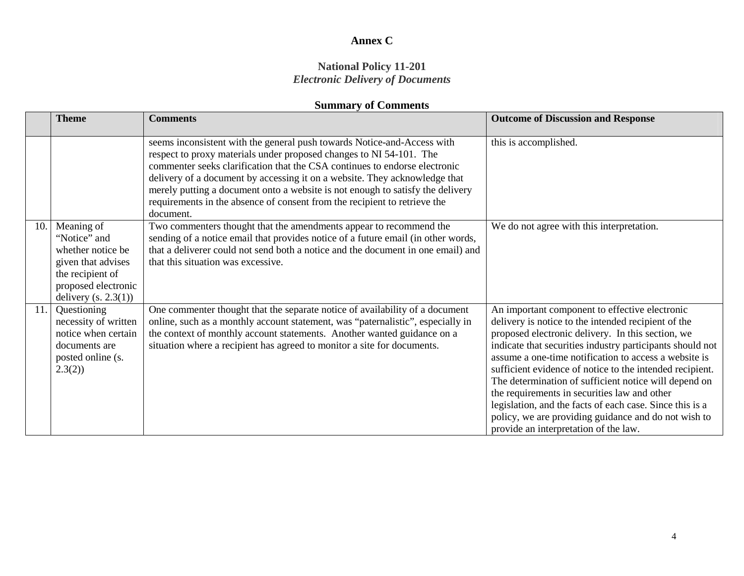#### **National Policy 11-201** *Electronic Delivery of Documents*

|     | <b>Theme</b>                                                                                                                               | <b>Comments</b>                                                                                                                                                                                                                                                                                                                                                                                                                                                                        | <b>Outcome of Discussion and Response</b>                                                                                                                                                                                                                                                                                                                                                                                                                                                                                                                                                                          |
|-----|--------------------------------------------------------------------------------------------------------------------------------------------|----------------------------------------------------------------------------------------------------------------------------------------------------------------------------------------------------------------------------------------------------------------------------------------------------------------------------------------------------------------------------------------------------------------------------------------------------------------------------------------|--------------------------------------------------------------------------------------------------------------------------------------------------------------------------------------------------------------------------------------------------------------------------------------------------------------------------------------------------------------------------------------------------------------------------------------------------------------------------------------------------------------------------------------------------------------------------------------------------------------------|
|     |                                                                                                                                            | seems inconsistent with the general push towards Notice-and-Access with<br>respect to proxy materials under proposed changes to NI 54-101. The<br>commenter seeks clarification that the CSA continues to endorse electronic<br>delivery of a document by accessing it on a website. They acknowledge that<br>merely putting a document onto a website is not enough to satisfy the delivery<br>requirements in the absence of consent from the recipient to retrieve the<br>document. | this is accomplished.                                                                                                                                                                                                                                                                                                                                                                                                                                                                                                                                                                                              |
| 10  | Meaning of<br>"Notice" and<br>whether notice be<br>given that advises<br>the recipient of<br>proposed electronic<br>delivery $(s. 2.3(1))$ | Two commenters thought that the amendments appear to recommend the<br>sending of a notice email that provides notice of a future email (in other words,<br>that a deliverer could not send both a notice and the document in one email) and<br>that this situation was excessive.                                                                                                                                                                                                      | We do not agree with this interpretation.                                                                                                                                                                                                                                                                                                                                                                                                                                                                                                                                                                          |
| 11. | Questioning<br>necessity of written<br>notice when certain<br>documents are<br>posted online (s.<br>2.3(2)                                 | One commenter thought that the separate notice of availability of a document<br>online, such as a monthly account statement, was "paternalistic", especially in<br>the context of monthly account statements. Another wanted guidance on a<br>situation where a recipient has agreed to monitor a site for documents.                                                                                                                                                                  | An important component to effective electronic<br>delivery is notice to the intended recipient of the<br>proposed electronic delivery. In this section, we<br>indicate that securities industry participants should not<br>assume a one-time notification to access a website is<br>sufficient evidence of notice to the intended recipient.<br>The determination of sufficient notice will depend on<br>the requirements in securities law and other<br>legislation, and the facts of each case. Since this is a<br>policy, we are providing guidance and do not wish to<br>provide an interpretation of the law. |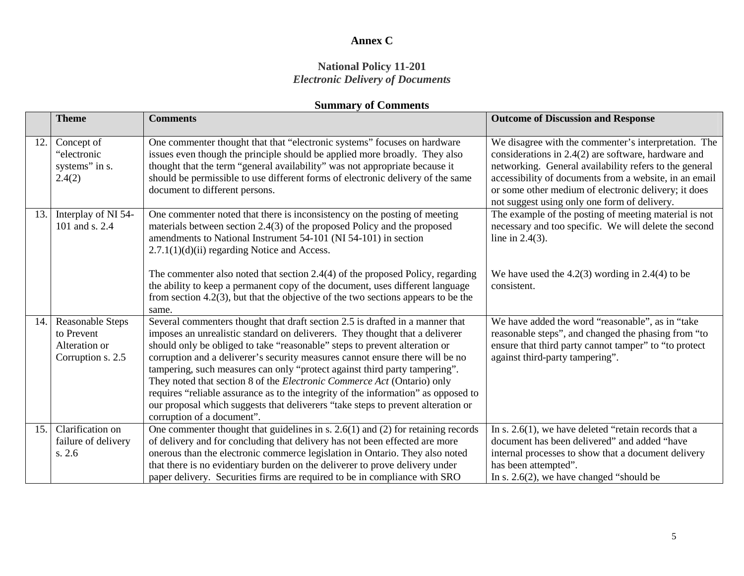#### **National Policy 11-201** *Electronic Delivery of Documents*

|      | <b>Theme</b>              | <b>Comments</b>                                                                                                                                        | <b>Outcome of Discussion and Response</b>                                                                     |
|------|---------------------------|--------------------------------------------------------------------------------------------------------------------------------------------------------|---------------------------------------------------------------------------------------------------------------|
|      |                           |                                                                                                                                                        |                                                                                                               |
| 12.  | Concept of<br>"electronic | One commenter thought that that "electronic systems" focuses on hardware<br>issues even though the principle should be applied more broadly. They also | We disagree with the commenter's interpretation. The<br>considerations in $2.4(2)$ are software, hardware and |
|      | systems" in s.            | thought that the term "general availability" was not appropriate because it                                                                            | networking. General availability refers to the general                                                        |
|      | 2.4(2)                    | should be permissible to use different forms of electronic delivery of the same                                                                        | accessibility of documents from a website, in an email                                                        |
|      |                           | document to different persons.                                                                                                                         | or some other medium of electronic delivery; it does                                                          |
|      |                           |                                                                                                                                                        | not suggest using only one form of delivery.                                                                  |
| 13.1 | Interplay of NI 54-       | One commenter noted that there is inconsistency on the posting of meeting                                                                              | The example of the posting of meeting material is not                                                         |
|      | 101 and s. 2.4            | materials between section 2.4(3) of the proposed Policy and the proposed<br>amendments to National Instrument 54-101 (NI 54-101) in section            | necessary and too specific. We will delete the second<br>line in $2.4(3)$ .                                   |
|      |                           | $2.7.1(1)(d)(ii)$ regarding Notice and Access.                                                                                                         |                                                                                                               |
|      |                           |                                                                                                                                                        |                                                                                                               |
|      |                           | The commenter also noted that section 2.4(4) of the proposed Policy, regarding                                                                         | We have used the $4.2(3)$ wording in 2.4(4) to be                                                             |
|      |                           | the ability to keep a permanent copy of the document, uses different language                                                                          | consistent.                                                                                                   |
|      |                           | from section 4.2(3), but that the objective of the two sections appears to be the                                                                      |                                                                                                               |
| 14.  | <b>Reasonable Steps</b>   | same.<br>Several commenters thought that draft section 2.5 is drafted in a manner that                                                                 | We have added the word "reasonable", as in "take                                                              |
|      | to Prevent                | imposes an unrealistic standard on deliverers. They thought that a deliverer                                                                           | reasonable steps", and changed the phasing from "to                                                           |
|      | Alteration or             | should only be obliged to take "reasonable" steps to prevent alteration or                                                                             | ensure that third party cannot tamper" to "to protect                                                         |
|      | Corruption s. 2.5         | corruption and a deliverer's security measures cannot ensure there will be no                                                                          | against third-party tampering".                                                                               |
|      |                           | tampering, such measures can only "protect against third party tampering".                                                                             |                                                                                                               |
|      |                           | They noted that section 8 of the Electronic Commerce Act (Ontario) only                                                                                |                                                                                                               |
|      |                           | requires "reliable assurance as to the integrity of the information" as opposed to                                                                     |                                                                                                               |
|      |                           | our proposal which suggests that deliverers "take steps to prevent alteration or<br>corruption of a document".                                         |                                                                                                               |
| 15.1 | Clarification on          | One commenter thought that guidelines in $s. 2.6(1)$ and (2) for retaining records                                                                     | In s. $2.6(1)$ , we have deleted "retain records that a                                                       |
|      | failure of delivery       | of delivery and for concluding that delivery has not been effected are more                                                                            | document has been delivered" and added "have                                                                  |
|      | s. 2.6                    | onerous than the electronic commerce legislation in Ontario. They also noted                                                                           | internal processes to show that a document delivery                                                           |
|      |                           | that there is no evidentiary burden on the deliverer to prove delivery under                                                                           | has been attempted".                                                                                          |
|      |                           | paper delivery. Securities firms are required to be in compliance with SRO                                                                             | In s. $2.6(2)$ , we have changed "should be                                                                   |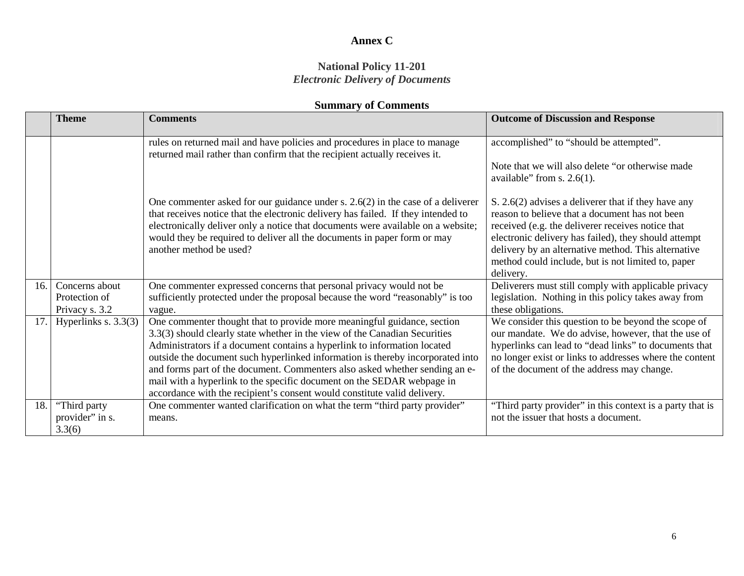#### **National Policy 11-201** *Electronic Delivery of Documents*

|      | <b>Theme</b>                    | <b>Comments</b>                                                                                                                                                                                                                                                                                                                                                                                                                                                                                                                                          | <b>Outcome of Discussion and Response</b>                                                                                                                                                                                                                                                                                                    |
|------|---------------------------------|----------------------------------------------------------------------------------------------------------------------------------------------------------------------------------------------------------------------------------------------------------------------------------------------------------------------------------------------------------------------------------------------------------------------------------------------------------------------------------------------------------------------------------------------------------|----------------------------------------------------------------------------------------------------------------------------------------------------------------------------------------------------------------------------------------------------------------------------------------------------------------------------------------------|
|      |                                 | rules on returned mail and have policies and procedures in place to manage<br>returned mail rather than confirm that the recipient actually receives it.                                                                                                                                                                                                                                                                                                                                                                                                 | accomplished" to "should be attempted".<br>Note that we will also delete "or otherwise made<br>available" from s. $2.6(1)$ .                                                                                                                                                                                                                 |
|      |                                 | One commenter asked for our guidance under s. $2.6(2)$ in the case of a deliverer<br>that receives notice that the electronic delivery has failed. If they intended to<br>electronically deliver only a notice that documents were available on a website;<br>would they be required to deliver all the documents in paper form or may<br>another method be used?                                                                                                                                                                                        | S. 2.6(2) advises a deliverer that if they have any<br>reason to believe that a document has not been<br>received (e.g. the deliverer receives notice that<br>electronic delivery has failed), they should attempt<br>delivery by an alternative method. This alternative<br>method could include, but is not limited to, paper<br>delivery. |
| 16.1 | Concerns about                  | One commenter expressed concerns that personal privacy would not be                                                                                                                                                                                                                                                                                                                                                                                                                                                                                      | Deliverers must still comply with applicable privacy                                                                                                                                                                                                                                                                                         |
|      | Protection of<br>Privacy s. 3.2 | sufficiently protected under the proposal because the word "reasonably" is too<br>vague.                                                                                                                                                                                                                                                                                                                                                                                                                                                                 | legislation. Nothing in this policy takes away from<br>these obligations.                                                                                                                                                                                                                                                                    |
|      | 17. Hyperlinks s. $3.3(3)$      | One commenter thought that to provide more meaningful guidance, section<br>3.3(3) should clearly state whether in the view of the Canadian Securities<br>Administrators if a document contains a hyperlink to information located<br>outside the document such hyperlinked information is thereby incorporated into<br>and forms part of the document. Commenters also asked whether sending an e-<br>mail with a hyperlink to the specific document on the SEDAR webpage in<br>accordance with the recipient's consent would constitute valid delivery. | We consider this question to be beyond the scope of<br>our mandate. We do advise, however, that the use of<br>hyperlinks can lead to "dead links" to documents that<br>no longer exist or links to addresses where the content<br>of the document of the address may change.                                                                 |
| 18.  | "Third party<br>provider" in s. | One commenter wanted clarification on what the term "third party provider"<br>means.                                                                                                                                                                                                                                                                                                                                                                                                                                                                     | "Third party provider" in this context is a party that is<br>not the issuer that hosts a document.                                                                                                                                                                                                                                           |
|      | 3.3(6)                          |                                                                                                                                                                                                                                                                                                                                                                                                                                                                                                                                                          |                                                                                                                                                                                                                                                                                                                                              |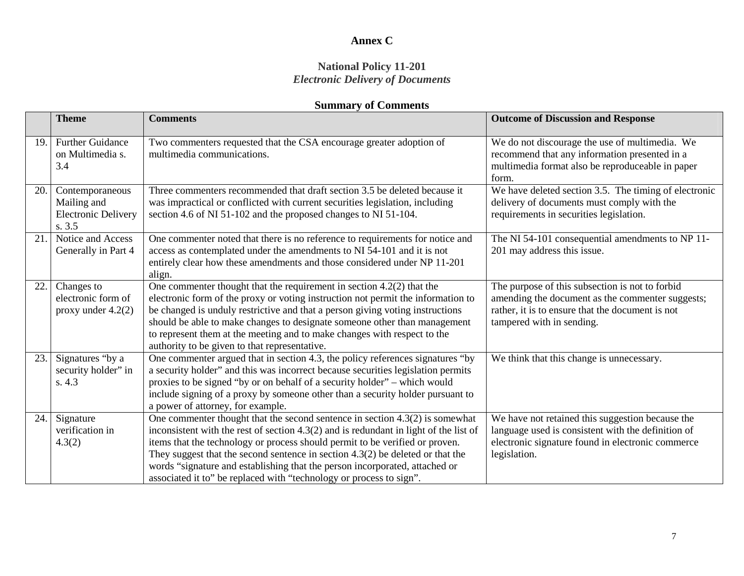#### **National Policy 11-201** *Electronic Delivery of Documents*

|      | <b>Theme</b>                                                           | <b>Comments</b>                                                                                                                                                                                                                                                                                                                                                                                                                                                                                     | <b>Outcome of Discussion and Response</b>                                                                                                                                            |
|------|------------------------------------------------------------------------|-----------------------------------------------------------------------------------------------------------------------------------------------------------------------------------------------------------------------------------------------------------------------------------------------------------------------------------------------------------------------------------------------------------------------------------------------------------------------------------------------------|--------------------------------------------------------------------------------------------------------------------------------------------------------------------------------------|
| 19   | <b>Further Guidance</b><br>on Multimedia s.<br>3.4                     | Two commenters requested that the CSA encourage greater adoption of<br>multimedia communications.                                                                                                                                                                                                                                                                                                                                                                                                   | We do not discourage the use of multimedia. We<br>recommend that any information presented in a<br>multimedia format also be reproduceable in paper<br>form.                         |
| 20.  | Contemporaneous<br>Mailing and<br><b>Electronic Delivery</b><br>s. 3.5 | Three commenters recommended that draft section 3.5 be deleted because it<br>was impractical or conflicted with current securities legislation, including<br>section 4.6 of NI 51-102 and the proposed changes to NI 51-104.                                                                                                                                                                                                                                                                        | We have deleted section 3.5. The timing of electronic<br>delivery of documents must comply with the<br>requirements in securities legislation.                                       |
| 21.1 | Notice and Access<br>Generally in Part 4                               | One commenter noted that there is no reference to requirements for notice and<br>access as contemplated under the amendments to NI 54-101 and it is not<br>entirely clear how these amendments and those considered under NP 11-201<br>align.                                                                                                                                                                                                                                                       | The NI 54-101 consequential amendments to NP 11-<br>201 may address this issue.                                                                                                      |
| 22.  | Changes to<br>electronic form of<br>proxy under $4.2(2)$               | One commenter thought that the requirement in section $4.2(2)$ that the<br>electronic form of the proxy or voting instruction not permit the information to<br>be changed is unduly restrictive and that a person giving voting instructions<br>should be able to make changes to designate someone other than management<br>to represent them at the meeting and to make changes with respect to the<br>authority to be given to that representative.                                              | The purpose of this subsection is not to forbid<br>amending the document as the commenter suggests;<br>rather, it is to ensure that the document is not<br>tampered with in sending. |
| 23.  | Signatures "by a<br>security holder" in<br>s. 4.3                      | One commenter argued that in section 4.3, the policy references signatures "by<br>a security holder" and this was incorrect because securities legislation permits<br>proxies to be signed "by or on behalf of a security holder" – which would<br>include signing of a proxy by someone other than a security holder pursuant to<br>a power of attorney, for example.                                                                                                                              | We think that this change is unnecessary.                                                                                                                                            |
| 24.1 | Signature<br>verification in<br>4.3(2)                                 | One commenter thought that the second sentence in section $4.3(2)$ is somewhat<br>inconsistent with the rest of section $4.3(2)$ and is redundant in light of the list of<br>items that the technology or process should permit to be verified or proven.<br>They suggest that the second sentence in section $4.3(2)$ be deleted or that the<br>words "signature and establishing that the person incorporated, attached or<br>associated it to" be replaced with "technology or process to sign". | We have not retained this suggestion because the<br>language used is consistent with the definition of<br>electronic signature found in electronic commerce<br>legislation.          |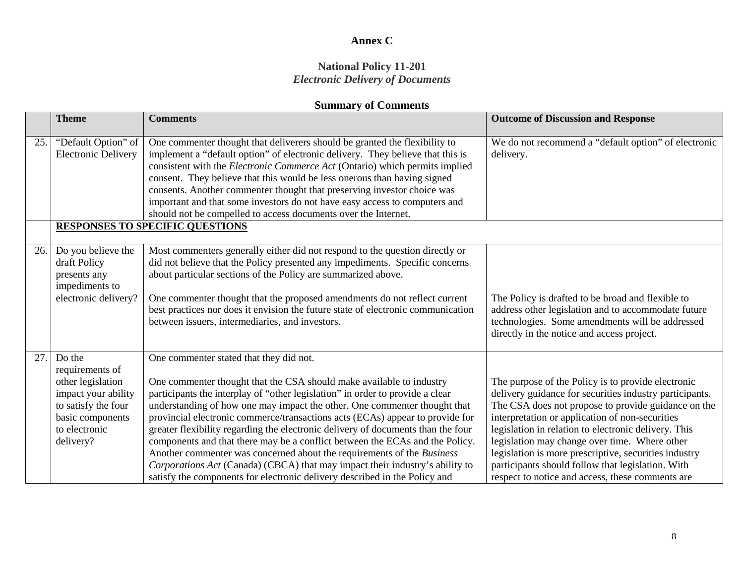#### **National Policy 11-201** *Electronic Delivery of Documents*

|     | <b>Theme</b>                                                                                                                                   | <b>Comments</b>                                                                                                                                                                                                                                                                                                                                                                                                                                                                                                                                                                                                                                                                                                                                                            | <b>Outcome of Discussion and Response</b>                                                                                                                                                                                                                                                                                                                                                                                                                                                          |
|-----|------------------------------------------------------------------------------------------------------------------------------------------------|----------------------------------------------------------------------------------------------------------------------------------------------------------------------------------------------------------------------------------------------------------------------------------------------------------------------------------------------------------------------------------------------------------------------------------------------------------------------------------------------------------------------------------------------------------------------------------------------------------------------------------------------------------------------------------------------------------------------------------------------------------------------------|----------------------------------------------------------------------------------------------------------------------------------------------------------------------------------------------------------------------------------------------------------------------------------------------------------------------------------------------------------------------------------------------------------------------------------------------------------------------------------------------------|
| 25  | "Default Option" of<br><b>Electronic Delivery</b>                                                                                              | One commenter thought that deliverers should be granted the flexibility to<br>implement a "default option" of electronic delivery. They believe that this is<br>consistent with the Electronic Commerce Act (Ontario) which permits implied<br>consent. They believe that this would be less onerous than having signed<br>consents. Another commenter thought that preserving investor choice was<br>important and that some investors do not have easy access to computers and<br>should not be compelled to access documents over the Internet.                                                                                                                                                                                                                         | We do not recommend a "default option" of electronic<br>delivery.                                                                                                                                                                                                                                                                                                                                                                                                                                  |
|     |                                                                                                                                                | <b>RESPONSES TO SPECIFIC QUESTIONS</b>                                                                                                                                                                                                                                                                                                                                                                                                                                                                                                                                                                                                                                                                                                                                     |                                                                                                                                                                                                                                                                                                                                                                                                                                                                                                    |
| 26. | Do you believe the<br>draft Policy<br>presents any<br>impediments to<br>electronic delivery?                                                   | Most commenters generally either did not respond to the question directly or<br>did not believe that the Policy presented any impediments. Specific concerns<br>about particular sections of the Policy are summarized above.<br>One commenter thought that the proposed amendments do not reflect current<br>best practices nor does it envision the future state of electronic communication<br>between issuers, intermediaries, and investors.                                                                                                                                                                                                                                                                                                                          | The Policy is drafted to be broad and flexible to<br>address other legislation and to accommodate future<br>technologies. Some amendments will be addressed<br>directly in the notice and access project.                                                                                                                                                                                                                                                                                          |
| 27  | Do the<br>requirements of<br>other legislation<br>impact your ability<br>to satisfy the four<br>basic components<br>to electronic<br>delivery? | One commenter stated that they did not.<br>One commenter thought that the CSA should make available to industry<br>participants the interplay of "other legislation" in order to provide a clear<br>understanding of how one may impact the other. One commenter thought that<br>provincial electronic commerce/transactions acts (ECAs) appear to provide for<br>greater flexibility regarding the electronic delivery of documents than the four<br>components and that there may be a conflict between the ECAs and the Policy.<br>Another commenter was concerned about the requirements of the Business<br>Corporations Act (Canada) (CBCA) that may impact their industry's ability to<br>satisfy the components for electronic delivery described in the Policy and | The purpose of the Policy is to provide electronic<br>delivery guidance for securities industry participants.<br>The CSA does not propose to provide guidance on the<br>interpretation or application of non-securities<br>legislation in relation to electronic delivery. This<br>legislation may change over time. Where other<br>legislation is more prescriptive, securities industry<br>participants should follow that legislation. With<br>respect to notice and access, these comments are |